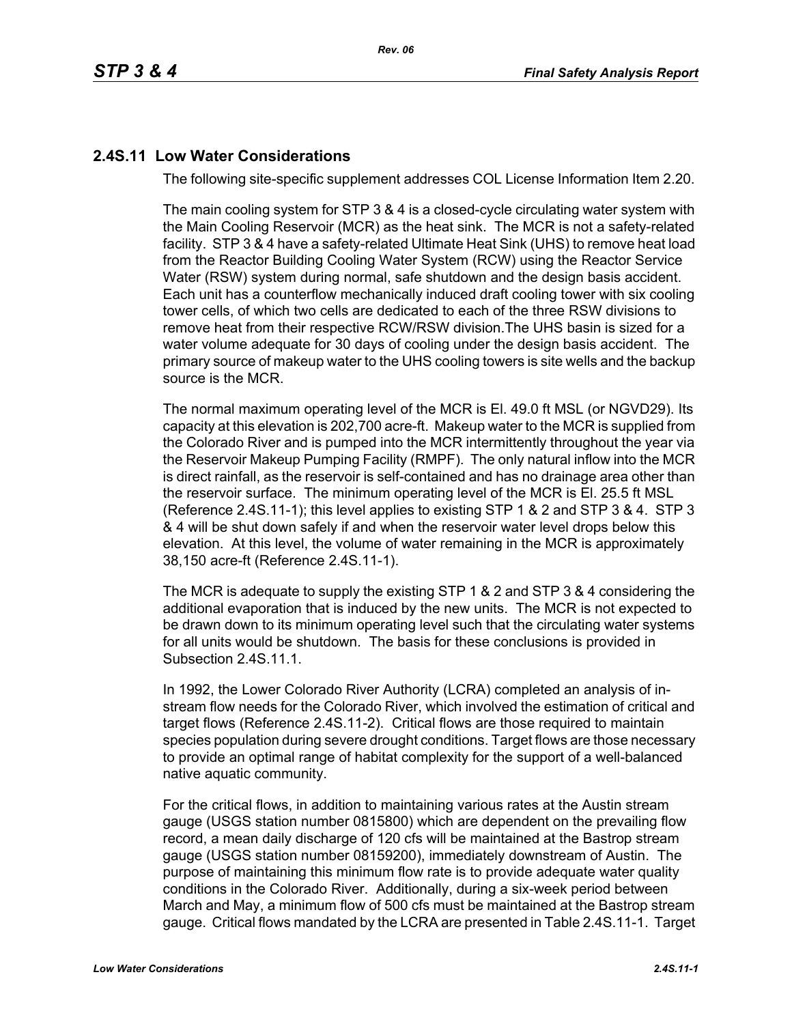# **2.4S.11 Low Water Considerations**

The following site-specific supplement addresses COL License Information Item 2.20.

The main cooling system for STP 3 & 4 is a closed-cycle circulating water system with the Main Cooling Reservoir (MCR) as the heat sink. The MCR is not a safety-related facility. STP 3 & 4 have a safety-related Ultimate Heat Sink (UHS) to remove heat load from the Reactor Building Cooling Water System (RCW) using the Reactor Service Water (RSW) system during normal, safe shutdown and the design basis accident. Each unit has a counterflow mechanically induced draft cooling tower with six cooling tower cells, of which two cells are dedicated to each of the three RSW divisions to remove heat from their respective RCW/RSW division.The UHS basin is sized for a water volume adequate for 30 days of cooling under the design basis accident. The primary source of makeup water to the UHS cooling towers is site wells and the backup source is the MCR.

The normal maximum operating level of the MCR is El. 49.0 ft MSL (or NGVD29). Its capacity at this elevation is 202,700 acre-ft. Makeup water to the MCR is supplied from the Colorado River and is pumped into the MCR intermittently throughout the year via the Reservoir Makeup Pumping Facility (RMPF). The only natural inflow into the MCR is direct rainfall, as the reservoir is self-contained and has no drainage area other than the reservoir surface. The minimum operating level of the MCR is El. 25.5 ft MSL (Reference [2.4S.11-1\)](#page-4-0); this level applies to existing STP 1 & 2 and STP 3 & 4. STP 3 & 4 will be shut down safely if and when the reservoir water level drops below this elevation. At this level, the volume of water remaining in the MCR is approximately 38,150 acre-ft (Reference [2.4S.11-1\)](#page-4-0).

The MCR is adequate to supply the existing STP 1 & 2 and STP 3 & 4 considering the additional evaporation that is induced by the new units. The MCR is not expected to be drawn down to its minimum operating level such that the circulating water systems for all units would be shutdown. The basis for these conclusions is provided in Subsection 2.4S.11.1.

In 1992, the Lower Colorado River Authority (LCRA) completed an analysis of instream flow needs for the Colorado River, which involved the estimation of critical and target flows (Reference [2.4S.11-2](#page-4-1)). Critical flows are those required to maintain species population during severe drought conditions. Target flows are those necessary to provide an optimal range of habitat complexity for the support of a well-balanced native aquatic community.

For the critical flows, in addition to maintaining various rates at the Austin stream gauge (USGS station number 0815800) which are dependent on the prevailing flow record, a mean daily discharge of 120 cfs will be maintained at the Bastrop stream gauge (USGS station number 08159200), immediately downstream of Austin. The purpose of maintaining this minimum flow rate is to provide adequate water quality conditions in the Colorado River. Additionally, during a six-week period between March and May, a minimum flow of 500 cfs must be maintained at the Bastrop stream gauge. Critical flows mandated by the LCRA are presented in Table [2.4S.11-1](#page-5-0). Target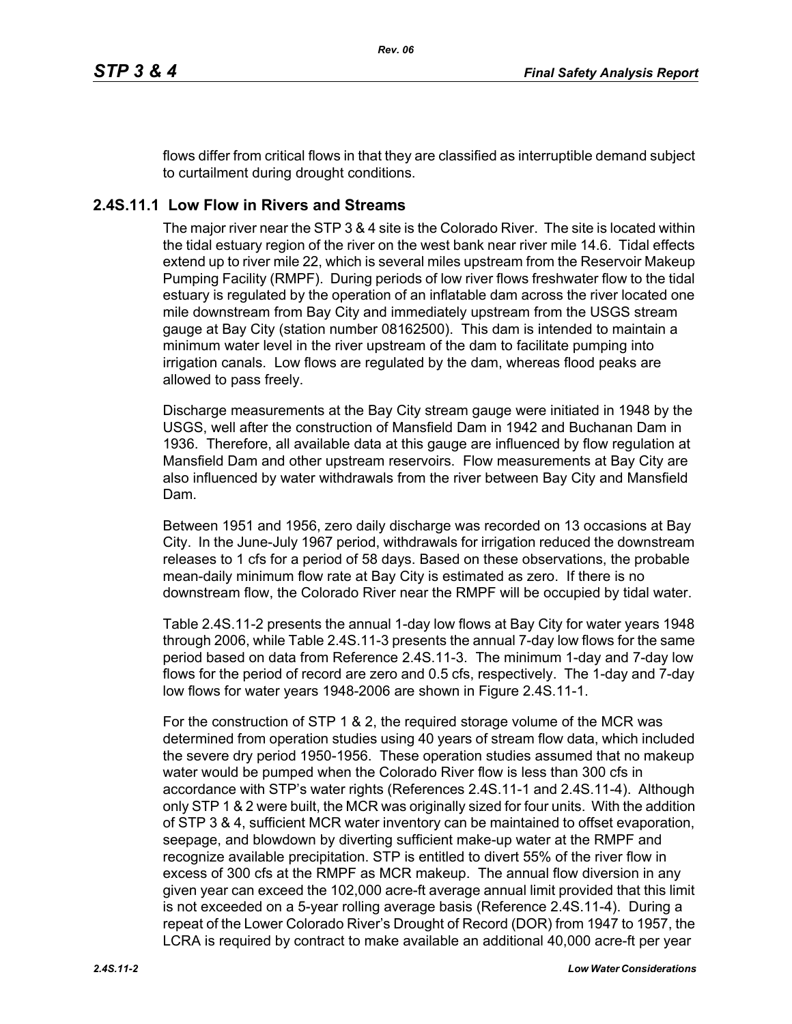flows differ from critical flows in that they are classified as interruptible demand subject to curtailment during drought conditions.

# **2.4S.11.1 Low Flow in Rivers and Streams**

The major river near the STP 3 & 4 site is the Colorado River. The site is located within the tidal estuary region of the river on the west bank near river mile 14.6. Tidal effects extend up to river mile 22, which is several miles upstream from the Reservoir Makeup Pumping Facility (RMPF). During periods of low river flows freshwater flow to the tidal estuary is regulated by the operation of an inflatable dam across the river located one mile downstream from Bay City and immediately upstream from the USGS stream gauge at Bay City (station number 08162500). This dam is intended to maintain a minimum water level in the river upstream of the dam to facilitate pumping into irrigation canals. Low flows are regulated by the dam, whereas flood peaks are allowed to pass freely.

Discharge measurements at the Bay City stream gauge were initiated in 1948 by the USGS, well after the construction of Mansfield Dam in 1942 and Buchanan Dam in 1936. Therefore, all available data at this gauge are influenced by flow regulation at Mansfield Dam and other upstream reservoirs. Flow measurements at Bay City are also influenced by water withdrawals from the river between Bay City and Mansfield Dam.

Between 1951 and 1956, zero daily discharge was recorded on 13 occasions at Bay City. In the June-July 1967 period, withdrawals for irrigation reduced the downstream releases to 1 cfs for a period of 58 days. Based on these observations, the probable mean-daily minimum flow rate at Bay City is estimated as zero. If there is no downstream flow, the Colorado River near the RMPF will be occupied by tidal water.

Table [2.4S.11-2](#page-6-0) presents the annual 1-day low flows at Bay City for water years 1948 through 2006, while Table [2.4S.11-3](#page-7-0) presents the annual 7-day low flows for the same period based on data from Reference [2.4S.11-3.](#page-4-2) The minimum 1-day and 7-day low flows for the period of record are zero and 0.5 cfs, respectively. The 1-day and 7-day low flows for water years 1948-2006 are shown in Figure [2.4S.11-1](#page-8-0).

For the construction of STP 1 & 2, the required storage volume of the MCR was determined from operation studies using 40 years of stream flow data, which included the severe dry period 1950-1956. These operation studies assumed that no makeup water would be pumped when the Colorado River flow is less than 300 cfs in accordance with STP's water rights (References [2.4S.11-1](#page-4-0) and [2.4S.11-4](#page-4-3)). Although only STP 1 & 2 were built, the MCR was originally sized for four units. With the addition of STP 3 & 4, sufficient MCR water inventory can be maintained to offset evaporation, seepage, and blowdown by diverting sufficient make-up water at the RMPF and recognize available precipitation. STP is entitled to divert 55% of the river flow in excess of 300 cfs at the RMPF as MCR makeup. The annual flow diversion in any given year can exceed the 102,000 acre-ft average annual limit provided that this limit is not exceeded on a 5-year rolling average basis (Reference [2.4S.11-4](#page-4-3)). During a repeat of the Lower Colorado River's Drought of Record (DOR) from 1947 to 1957, the LCRA is required by contract to make available an additional 40,000 acre-ft per year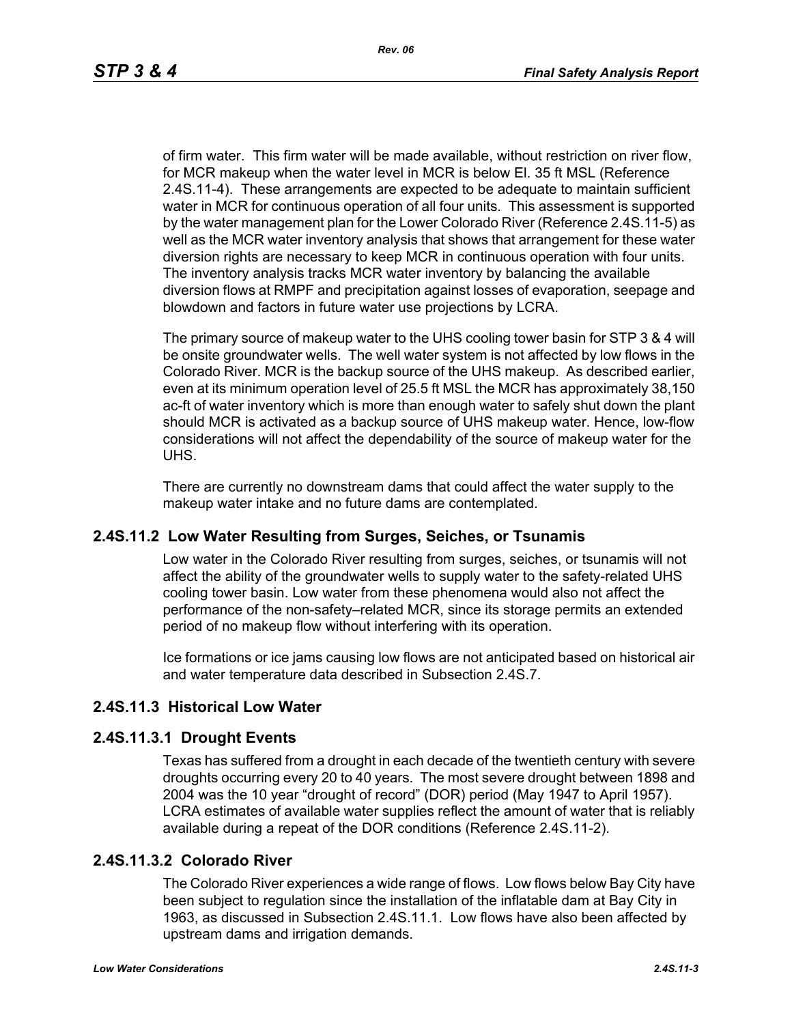of firm water. This firm water will be made available, without restriction on river flow, for MCR makeup when the water level in MCR is below El. 35 ft MSL (Reference [2.4S.11-4\)](#page-4-3). These arrangements are expected to be adequate to maintain sufficient water in MCR for continuous operation of all four units. This assessment is supported by the water management plan for the Lower Colorado River (Reference [2.4S.11-5](#page-4-4)) as well as the MCR water inventory analysis that shows that arrangement for these water diversion rights are necessary to keep MCR in continuous operation with four units. The inventory analysis tracks MCR water inventory by balancing the available diversion flows at RMPF and precipitation against losses of evaporation, seepage and blowdown and factors in future water use projections by LCRA.

The primary source of makeup water to the UHS cooling tower basin for STP 3 & 4 will be onsite groundwater wells. The well water system is not affected by low flows in the Colorado River. MCR is the backup source of the UHS makeup. As described earlier, even at its minimum operation level of 25.5 ft MSL the MCR has approximately 38,150 ac-ft of water inventory which is more than enough water to safely shut down the plant should MCR is activated as a backup source of UHS makeup water. Hence, low-flow considerations will not affect the dependability of the source of makeup water for the UHS.

There are currently no downstream dams that could affect the water supply to the makeup water intake and no future dams are contemplated.

### **2.4S.11.2 Low Water Resulting from Surges, Seiches, or Tsunamis**

Low water in the Colorado River resulting from surges, seiches, or tsunamis will not affect the ability of the groundwater wells to supply water to the safety-related UHS cooling tower basin. Low water from these phenomena would also not affect the performance of the non-safety–related MCR, since its storage permits an extended period of no makeup flow without interfering with its operation.

Ice formations or ice jams causing low flows are not anticipated based on historical air and water temperature data described in Subsection 2.4S.7.

# **2.4S.11.3 Historical Low Water**

### **2.4S.11.3.1 Drought Events**

Texas has suffered from a drought in each decade of the twentieth century with severe droughts occurring every 20 to 40 years. The most severe drought between 1898 and 2004 was the 10 year "drought of record" (DOR) period (May 1947 to April 1957). LCRA estimates of available water supplies reflect the amount of water that is reliably available during a repeat of the DOR conditions (Reference [2.4S.11-2\)](#page-4-1).

### **2.4S.11.3.2 Colorado River**

The Colorado River experiences a wide range of flows. Low flows below Bay City have been subject to regulation since the installation of the inflatable dam at Bay City in 1963, as discussed in Subsection 2.4S.11.1. Low flows have also been affected by upstream dams and irrigation demands.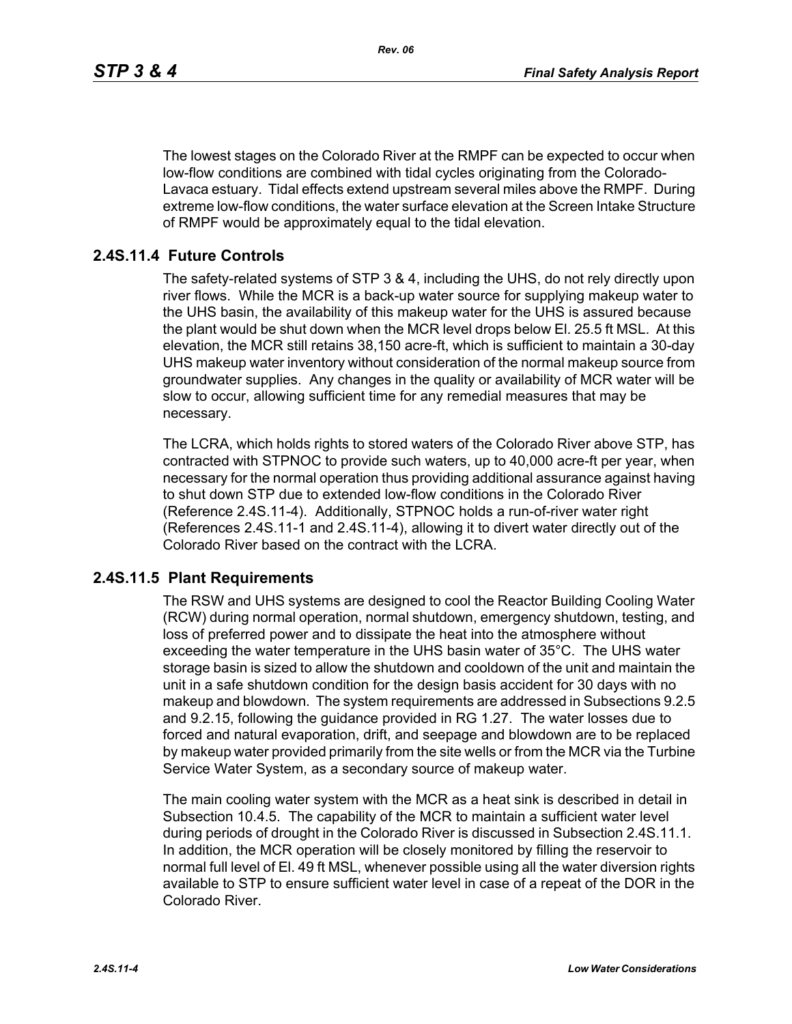The lowest stages on the Colorado River at the RMPF can be expected to occur when low-flow conditions are combined with tidal cycles originating from the Colorado-Lavaca estuary. Tidal effects extend upstream several miles above the RMPF. During extreme low-flow conditions, the water surface elevation at the Screen Intake Structure of RMPF would be approximately equal to the tidal elevation.

### **2.4S.11.4 Future Controls**

The safety-related systems of STP 3 & 4, including the UHS, do not rely directly upon river flows. While the MCR is a back-up water source for supplying makeup water to the UHS basin, the availability of this makeup water for the UHS is assured because the plant would be shut down when the MCR level drops below El. 25.5 ft MSL. At this elevation, the MCR still retains 38,150 acre-ft, which is sufficient to maintain a 30-day UHS makeup water inventory without consideration of the normal makeup source from groundwater supplies. Any changes in the quality or availability of MCR water will be slow to occur, allowing sufficient time for any remedial measures that may be necessary.

The LCRA, which holds rights to stored waters of the Colorado River above STP, has contracted with STPNOC to provide such waters, up to 40,000 acre-ft per year, when necessary for the normal operation thus providing additional assurance against having to shut down STP due to extended low-flow conditions in the Colorado River (Reference [2.4S.11-4\)](#page-4-3). Additionally, STPNOC holds a run-of-river water right (References [2.4S.11-1](#page-4-0) and [2.4S.11-4\)](#page-4-3), allowing it to divert water directly out of the Colorado River based on the contract with the LCRA.

### **2.4S.11.5 Plant Requirements**

The RSW and UHS systems are designed to cool the Reactor Building Cooling Water (RCW) during normal operation, normal shutdown, emergency shutdown, testing, and loss of preferred power and to dissipate the heat into the atmosphere without exceeding the water temperature in the UHS basin water of 35°C. The UHS water storage basin is sized to allow the shutdown and cooldown of the unit and maintain the unit in a safe shutdown condition for the design basis accident for 30 days with no makeup and blowdown. The system requirements are addressed in Subsections 9.2.5 and 9.2.15, following the guidance provided in RG 1.27. The water losses due to forced and natural evaporation, drift, and seepage and blowdown are to be replaced by makeup water provided primarily from the site wells or from the MCR via the Turbine Service Water System, as a secondary source of makeup water.

The main cooling water system with the MCR as a heat sink is described in detail in Subsection 10.4.5. The capability of the MCR to maintain a sufficient water level during periods of drought in the Colorado River is discussed in Subsection 2.4S.11.1. In addition, the MCR operation will be closely monitored by filling the reservoir to normal full level of El. 49 ft MSL, whenever possible using all the water diversion rights available to STP to ensure sufficient water level in case of a repeat of the DOR in the Colorado River.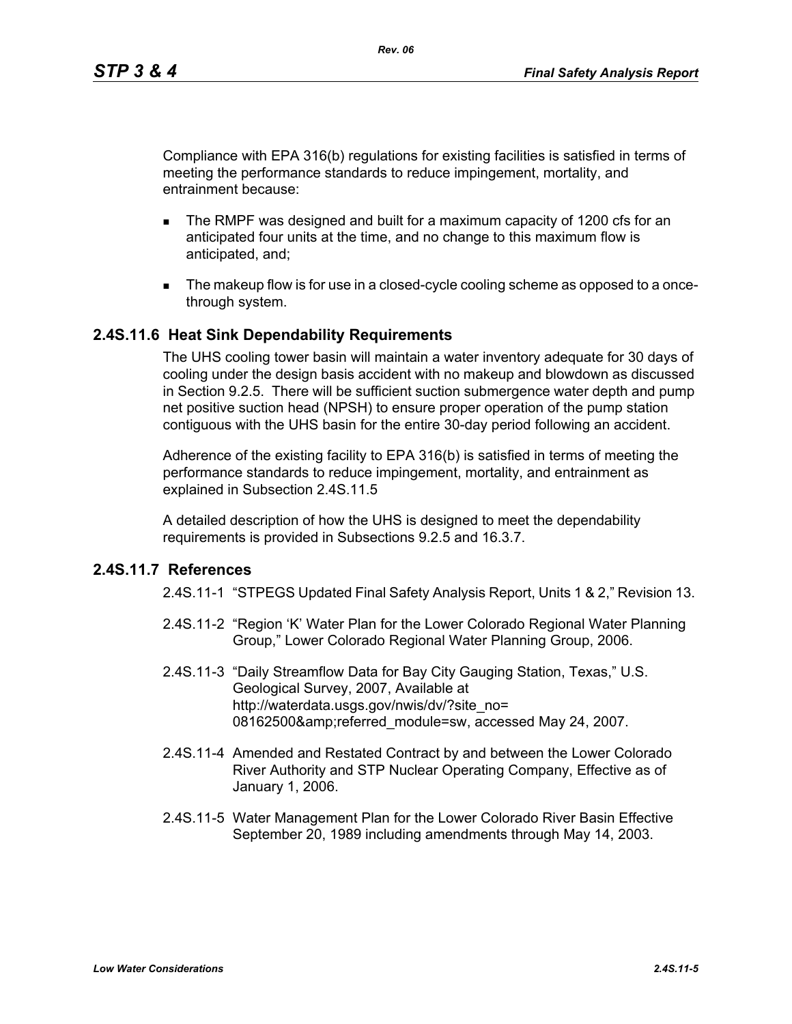Compliance with EPA 316(b) regulations for existing facilities is satisfied in terms of meeting the performance standards to reduce impingement, mortality, and entrainment because:

- The RMPF was designed and built for a maximum capacity of 1200 cfs for an anticipated four units at the time, and no change to this maximum flow is anticipated, and;
- The makeup flow is for use in a closed-cycle cooling scheme as opposed to a oncethrough system.

### **2.4S.11.6 Heat Sink Dependability Requirements**

The UHS cooling tower basin will maintain a water inventory adequate for 30 days of cooling under the design basis accident with no makeup and blowdown as discussed in Section 9.2.5. There will be sufficient suction submergence water depth and pump net positive suction head (NPSH) to ensure proper operation of the pump station contiguous with the UHS basin for the entire 30-day period following an accident.

Adherence of the existing facility to EPA 316(b) is satisfied in terms of meeting the performance standards to reduce impingement, mortality, and entrainment as explained in Subsection 2.4S.11.5

A detailed description of how the UHS is designed to meet the dependability requirements is provided in Subsections 9.2.5 and 16.3.7.

### <span id="page-4-1"></span><span id="page-4-0"></span>**2.4S.11.7 References**

2.4S.11-1 "STPEGS Updated Final Safety Analysis Report, Units 1 & 2," Revision 13.

- 2.4S.11-2 "Region 'K' Water Plan for the Lower Colorado Regional Water Planning Group," Lower Colorado Regional Water Planning Group, 2006.
- <span id="page-4-2"></span>2.4S.11-3 "Daily Streamflow Data for Bay City Gauging Station, Texas," U.S. Geological Survey, 2007, Available at http://waterdata.usgs.gov/nwis/dv/?site\_no= 08162500&referred\_module=sw, accessed May 24, 2007.
- <span id="page-4-3"></span>2.4S.11-4 Amended and Restated Contract by and between the Lower Colorado River Authority and STP Nuclear Operating Company, Effective as of January 1, 2006.
- <span id="page-4-4"></span>2.4S.11-5 Water Management Plan for the Lower Colorado River Basin Effective September 20, 1989 including amendments through May 14, 2003.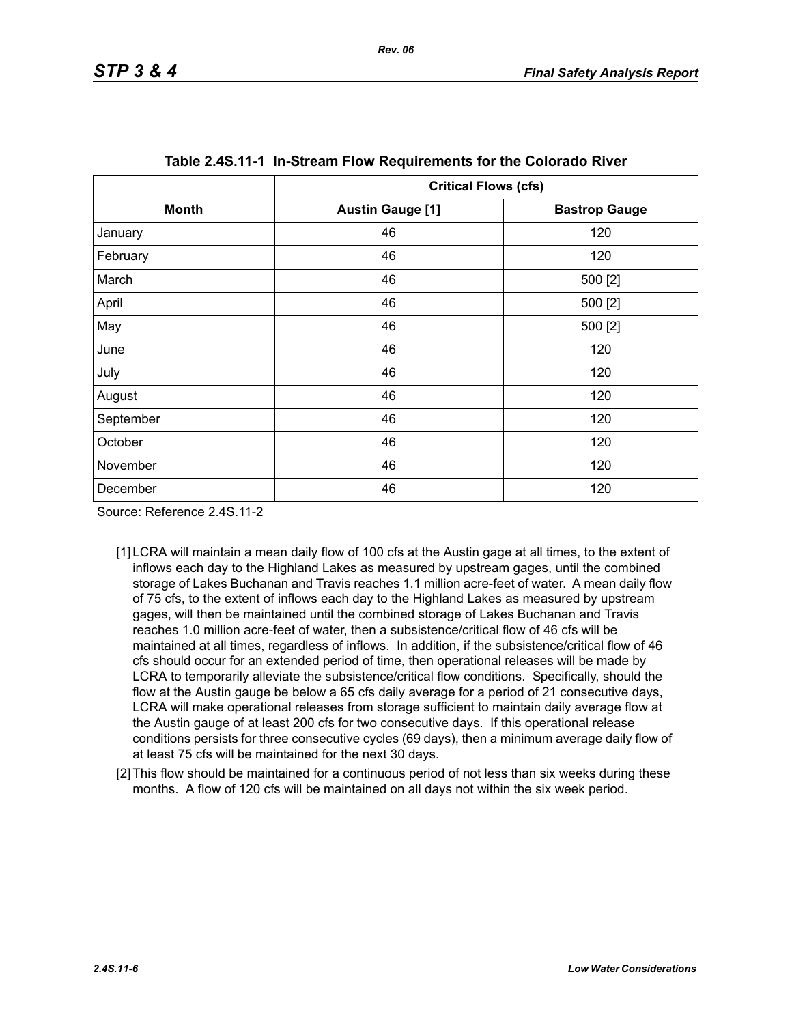<span id="page-5-0"></span>

|              | <b>Critical Flows (cfs)</b> |                      |
|--------------|-----------------------------|----------------------|
| <b>Month</b> | <b>Austin Gauge [1]</b>     | <b>Bastrop Gauge</b> |
| January      | 46                          | 120                  |
| February     | 46                          | 120                  |
| March        | 46                          | 500 [2]              |
| April        | 46                          | 500 [2]              |
| May          | 46                          | 500 [2]              |
| June         | 46                          | 120                  |
| July         | 46                          | 120                  |
| August       | 46                          | 120                  |
| September    | 46                          | 120                  |
| October      | 46                          | 120                  |
| November     | 46                          | 120                  |
| December     | 46                          | 120                  |

Source: Reference 2.4S.11-2

- [1] LCRA will maintain a mean daily flow of 100 cfs at the Austin gage at all times, to the extent of inflows each day to the Highland Lakes as measured by upstream gages, until the combined storage of Lakes Buchanan and Travis reaches 1.1 million acre-feet of water. A mean daily flow of 75 cfs, to the extent of inflows each day to the Highland Lakes as measured by upstream gages, will then be maintained until the combined storage of Lakes Buchanan and Travis reaches 1.0 million acre-feet of water, then a subsistence/critical flow of 46 cfs will be maintained at all times, regardless of inflows. In addition, if the subsistence/critical flow of 46 cfs should occur for an extended period of time, then operational releases will be made by LCRA to temporarily alleviate the subsistence/critical flow conditions. Specifically, should the flow at the Austin gauge be below a 65 cfs daily average for a period of 21 consecutive days, LCRA will make operational releases from storage sufficient to maintain daily average flow at the Austin gauge of at least 200 cfs for two consecutive days. If this operational release conditions persists for three consecutive cycles (69 days), then a minimum average daily flow of at least 75 cfs will be maintained for the next 30 days.
- <span id="page-5-1"></span>[2] This flow should be maintained for a continuous period of not less than six weeks during these months. A flow of 120 cfs will be maintained on all days not within the six week period.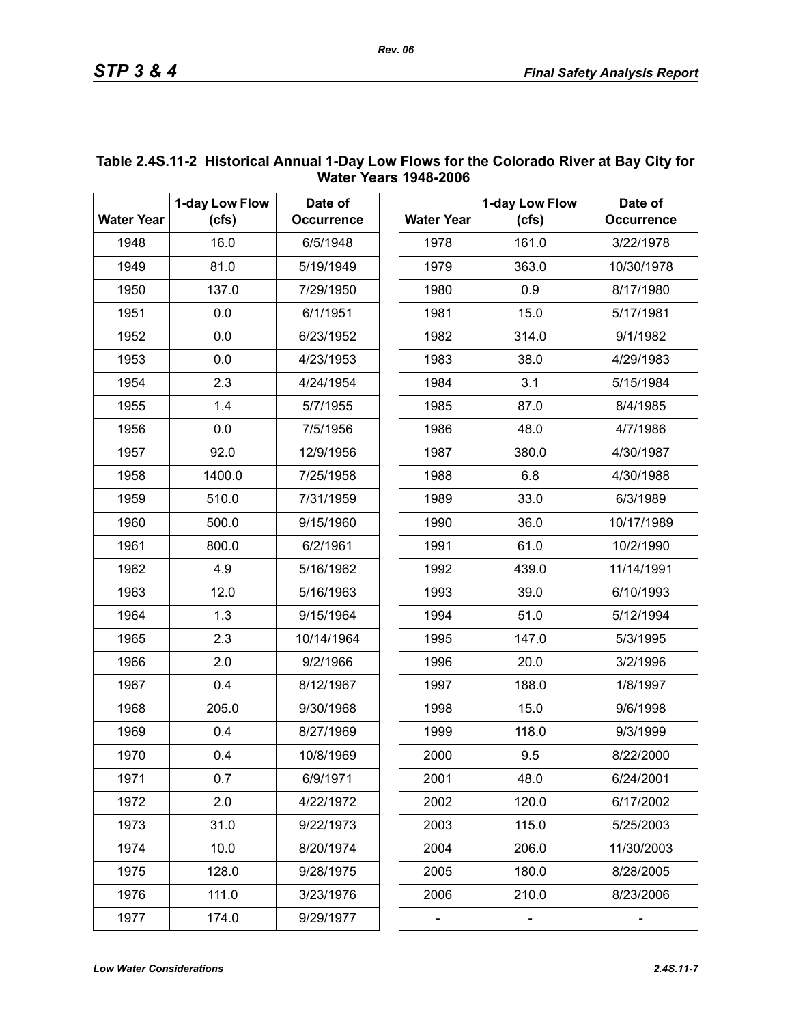|                   | 1-day Low Flow | Date of           |      |                   | 1-day Low Flow |
|-------------------|----------------|-------------------|------|-------------------|----------------|
| <b>Water Year</b> | (cfs)          | <b>Occurrence</b> |      | <b>Water Year</b> | (cfs)          |
| 1948              | 16.0           | 6/5/1948          |      | 1978              | 161.0          |
| 1949              | 81.0           | 5/19/1949         |      | 1979              | 363.0          |
| 1950              | 137.0          | 7/29/1950         |      | 1980              | 0.9            |
| 1951              | 0.0            | 6/1/1951          |      | 1981              | 15.0           |
| 1952              | 0.0            | 6/23/1952         |      | 1982              | 314.0          |
| 1953              | 0.0            | 4/23/1953         | 1983 |                   | 38.0           |
| 1954              | 2.3            | 4/24/1954         | 1984 |                   | 3.1            |
| 1955              | 1.4            | 5/7/1955          | 1985 |                   | 87.0           |
| 1956              | 0.0            | 7/5/1956          | 1986 |                   | 48.0           |
| 1957              | 92.0           | 12/9/1956         | 1987 |                   | 380.0          |
| 1958              | 1400.0         | 7/25/1958         | 1988 |                   | 6.8            |
| 1959              | 510.0          | 7/31/1959         | 1989 |                   | 33.0           |
| 1960              | 500.0          | 9/15/1960         | 1990 |                   | 36.0           |
| 1961              | 800.0          | 6/2/1961          | 1991 |                   | 61.0           |
| 1962              | 4.9            | 5/16/1962         | 1992 |                   | 439.0          |
| 1963              | 12.0           | 5/16/1963         | 1993 |                   | 39.0           |
| 1964              | 1.3            | 9/15/1964         | 1994 |                   | 51.0           |
| 1965              | 2.3            | 10/14/1964        | 1995 |                   | 147.0          |
| 1966              | 2.0            | 9/2/1966          | 1996 |                   | 20.0           |
| 1967              | 0.4            | 8/12/1967         | 1997 |                   | 188.0          |
| 1968              | 205.0          | 9/30/1968         | 1998 |                   | 15.0           |
| 1969              | 0.4            | 8/27/1969         | 1999 |                   | 118.0          |
| 1970              | 0.4            | 10/8/1969         | 2000 |                   | 9.5            |
| 1971              | 0.7            | 6/9/1971          | 2001 |                   | 48.0           |
| 1972              | 2.0            | 4/22/1972         | 2002 |                   | 120.0          |
| 1973              | 31.0           | 9/22/1973         | 2003 |                   | 115.0          |
| 1974              | 10.0           | 8/20/1974         | 2004 |                   | 206.0          |
| 1975              | 128.0          | 9/28/1975         | 2005 |                   | 180.0          |
| 1976              | 111.0          | 3/23/1976         | 2006 |                   | 210.0          |
| 1977              | 174.0          | 9/29/1977         |      |                   |                |

### <span id="page-6-0"></span>**Table 2.4S.11-2 Historical Annual 1-Day Low Flows for the Colorado River at Bay City for Water Years 1948-2006**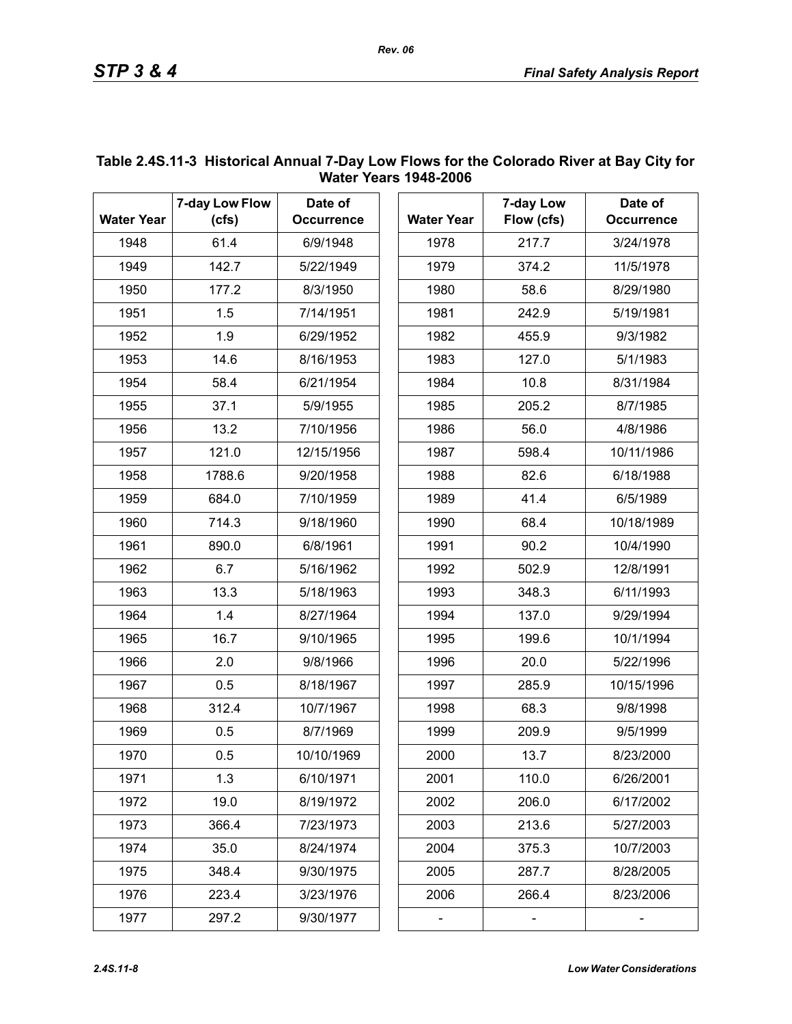| <b>Water Year</b> | 7-day Low Flow<br>(cfs) | Date of<br><b>Occurrence</b> |
|-------------------|-------------------------|------------------------------|
| 1948              | 61.4                    | 6/9/1948                     |
| 1949              | 142.7                   | 5/22/1949                    |
| 1950              | 177.2                   | 8/3/1950                     |
| 1951              | 1.5                     | 7/14/1951                    |
| 1952              | 1.9                     | 6/29/1952                    |
| 1953              | 14.6                    | 8/16/1953                    |
| 1954              | 58.4                    | 6/21/1954                    |
| 1955              | 37.1                    | 5/9/1955                     |
| 1956              | 13.2                    | 7/10/1956                    |
| 1957              | 121.0                   | 12/15/1956                   |
| 1958              | 1788.6                  | 9/20/1958                    |
| 1959              | 684.0                   | 7/10/1959                    |
| 1960              | 714.3                   | 9/18/1960                    |
| 1961              | 890.0                   | 6/8/1961                     |
| 1962              | 6.7                     | 5/16/1962                    |
| 1963              | 13.3                    | 5/18/1963                    |
| 1964              | 1.4                     | 8/27/1964                    |
| 1965              | 16.7                    | 9/10/1965                    |
| 1966              | 2.0                     | 9/8/1966                     |
| 1967              | 0.5                     | 8/18/1967                    |
| 1968              | 312.4                   | 10/7/1967                    |
| 1969              | 0.5                     | 8/7/1969                     |
| 1970              | 0.5                     | 10/10/1969                   |
| 1971              | 1.3                     | 6/10/1971                    |
| 1972              | 19.0                    | 8/19/1972                    |
| 1973              | 366.4                   | 7/23/1973                    |
| 1974              | 35.0                    | 8/24/1974                    |
| 1975              | 348.4                   | 9/30/1975                    |
| 1976              | 223.4                   | 3/23/1976                    |
| 1977              | 297.2                   | 9/30/1977                    |

### <span id="page-7-0"></span>**Table 2.4S.11-3 Historical Annual 7-Day Low Flows for the Colorado River at Bay City for Water Years 1948-2006**

*Rev. 06*